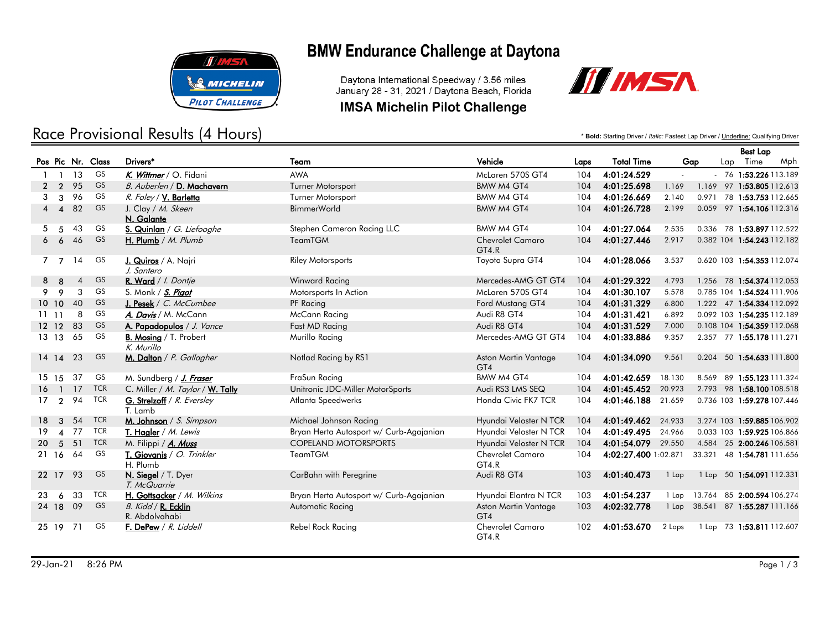

## Race Provisional Results (4 Hours)

# **BMW Endurance Challenge at Daytona**

Daytona International Speedway / 3.56 miles January 28 - 31, 2021 / Daytona Beach, Florida

### **IMSA Michelin Pilot Challenge**



\* **Bold:** Starting Driver / *Italic:* Fastest Lap Driver / Underline: Qualifying Driver

|                              |                        |                |            |                                             |                                         |                                  |      |                      |                     |        |     | <b>Best Lap</b>            |     |
|------------------------------|------------------------|----------------|------------|---------------------------------------------|-----------------------------------------|----------------------------------|------|----------------------|---------------------|--------|-----|----------------------------|-----|
| Pos Pic Nr. Class            |                        |                |            | Drivers*                                    | Team                                    | Vehicle                          | Laps | <b>Total Time</b>    | Gap                 |        | Lap | Time                       | Mph |
| $\mathbf{1}$<br>$\mathbf{1}$ |                        | 13             | GS         | K. Wittmer / O. Fidani                      | <b>AWA</b>                              | McLaren 570S GT4                 | 104  | 4:01:24.529          | $\mathcal{L}^{\pm}$ |        |     | $-76$ 1:53.226 113.189     |     |
| $\mathbf{2}$                 | $\mathcal{P}$          | 95             | GS         | B. Auberlen / D. Machavern                  | Turner Motorsport                       | <b>BMW M4 GT4</b>                | 104  | 4:01:25.698          | 1.169               |        |     | 1.169 97 1:53.805 112.613  |     |
| 3                            | 3                      | 96             | GS         | R. Foley / V. Barletta                      | Turner Motorsport                       | BMW M4 GT4                       | 104  | 4:01:26.669          | 2.140               |        |     | 0.971 78 1:53.753 112.665  |     |
| 4                            | $\boldsymbol{\Lambda}$ | 82             | <b>GS</b>  | J. Clay / M. Skeen<br>N. Galante            | <b>BimmerWorld</b>                      | BMW M4 GT4                       | 104  | 4:01:26.728          | 2.199               |        |     | 0.059 97 1:54.106 112.316  |     |
| 5.                           | 5                      | 43             | GS         | S. Quinlan / G. Liefooghe                   | Stephen Cameron Racing LLC              | BMW M4 GT4                       | 104  | 4:01:27.064          | 2.535               |        |     | 0.336 78 1:53.897 112.522  |     |
| 66                           |                        | 46             | <b>GS</b>  | H. Plumb / $M.$ Plumb                       | <b>TeamTGM</b>                          | <b>Chevrolet Camaro</b><br>GT4.R | 104  | 4:01:27.446          | 2.917               |        |     | 0.382 104 1:54.243 112.182 |     |
| 7 <sub>7</sub>               |                        | 14             | GS         | J. Quiros / A. Najri<br>J. Santero          | <b>Riley Motorsports</b>                | Toyota Supra GT4                 | 104  | 4:01:28.066          | 3.537               |        |     | 0.620 103 1:54.353 112.074 |     |
| 8<br>-8                      |                        | $\overline{4}$ | <b>GS</b>  | R. Ward / I. Dontje                         | <b>Winward Racing</b>                   | Mercedes-AMG GT GT4              | 104  | 4:01:29.322          | 4.793               |        |     | 1.256 78 1:54.374 112.053  |     |
| 9                            | $\mathsf{o}$           | 3              | GS         | S. Monk / S. Pigot                          | Motorsports In Action                   | McLaren 570S GT4                 | 104  | 4:01:30.107          | 5.578               |        |     | 0.785 104 1:54.524 111.906 |     |
| 10 10                        |                        | 40             | <b>GS</b>  | J. Pesek / $C.$ McCumbee                    | PF Racing                               | Ford Mustang GT4                 | 104  | 4:01:31.329          | 6.800               |        |     | 1.222 47 1:54.334 112.092  |     |
| 1111                         |                        | 8              | GS         | A. Davis / M. McCann                        | McCann Racing                           | Audi R8 GT4                      | 104  | 4:01:31.421          | 6.892               |        |     | 0.092 103 1:54.235 112.189 |     |
| $12 \t12$                    |                        | 83             | <b>GS</b>  | A. Papadopulos / J. Vance                   | Fast MD Racing                          | Audi R8 GT4                      | 104  | 4:01:31.529          | 7.000               |        |     | 0.108 104 1:54.359 112.068 |     |
| 13 13                        |                        | 65             | GS         | <b>B. Mosing / T. Probert</b><br>K. Murillo | Murillo Racing                          | Mercedes-AMG GT GT4              | 104  | 4:01:33.886          | 9.357               |        |     | 2.357 77 1:55.178 111.271  |     |
| $14 \t14$                    |                        | 23             | <b>GS</b>  | M. Dalton / P. Gallagher                    | Notlad Racing by RS1                    | Aston Martin Vantage<br>GT4      | 104  | 4:01:34.090          | 9.561               |        |     | 0.204 50 1:54.633 111.800  |     |
| 15 15                        |                        | 37             | GS         | M. Sundberg / J. Fraser                     | FraSun Racing                           | BMW M4 GT4                       | 104  | 4:01:42.659          | 18.130              |        |     | 8.569 89 1:55.123 111.324  |     |
| 16 <sub>1</sub>              |                        | 17             | <b>TCR</b> | C. Miller / M. Taylor / W. Tally            | Unitronic JDC-Miller MotorSports        | Audi RS3 LMS SEQ                 | 104  | 4:01:45.452          | 20.923              |        |     | 2.793 98 1:58.100 108.518  |     |
| 17 <sub>2</sub>              |                        | 94             | <b>TCR</b> | G. Strelzoff / R. Eversley<br>T. Lamb       | Atlanta Speedwerks                      | Honda Civic FK7 TCR              | 104  | 4:01:46.188          | 21.659              |        |     | 0.736 103 1:59.278 107.446 |     |
| 18                           | $\mathbf{3}$           | 54             | <b>TCR</b> | M. Johnson / S. Simpson                     | Michael Johnson Racing                  | Hyundai Veloster N TCR           | 104  | 4:01:49.462          | 24.933              |        |     | 3.274 103 1:59.885 106.902 |     |
| 19                           | $\boldsymbol{\Lambda}$ | 77             | <b>TCR</b> | T. Hagler / M. Lewis                        | Bryan Herta Autosport w/ Curb-Agajanian | Hyundai Veloster N TCR           | 104  | 4:01:49.495          | 24.966              |        |     | 0.033 103 1:59.925 106.866 |     |
| -5<br>20 <sup>1</sup>        |                        | 51             | <b>TCR</b> | M. Filippi / A. Muss                        | <b>COPELAND MOTORSPORTS</b>             | Hyundai Veloster N TCR           | 104  | 4:01:54.079 29.550   |                     |        |     | 4.584 25 2:00.246 106.581  |     |
| 21 16                        |                        | 64             | GS         | T. Giovanis / O. Trinkler<br>H. Plumb       | <b>TeamTGM</b>                          | <b>Chevrolet Camaro</b><br>GT4.R | 104  | 4:02:27.400 1:02.871 |                     | 33.321 |     | 48 1:54.781 111.656        |     |
| 22 17                        |                        | 93             | <b>GS</b>  | N. Siegel / T. Dyer<br>T. McQuarrie         | CarBahn with Peregrine                  | Audi R8 GT4                      | 103  | 4:01:40.473          | 1 Lap               |        |     | 1 Lap 50 1:54.091 112.331  |     |
| 23                           | 6                      | 33             | <b>TCR</b> | H. Gottsacker / M. Wilkins                  | Bryan Herta Autosport w/ Curb-Agajanian | Hyundai Elantra N TCR            | 103  | 4:01:54.237          | 1 Lap               |        |     | 13.764 85 2:00.594 106.274 |     |
| 24 18                        |                        | 09             | <b>GS</b>  | B. Kidd / R. Ecklin<br>R. Abdolvahabi       | Automatic Racing                        | Aston Martin Vantage<br>GT4      | 103  | 4:02:32.778          | 1 Lap               | 38.541 |     | 87 1:55.287 111.166        |     |
| 25 19                        |                        | 71             | GS         | F. DePew / R. Liddell                       | Rebel Rock Racing                       | <b>Chevrolet Camaro</b><br>GT4.R | 102  | 4:01:53.670          | 2 Laps              |        |     | 1 Lap 73 1:53.811 112.607  |     |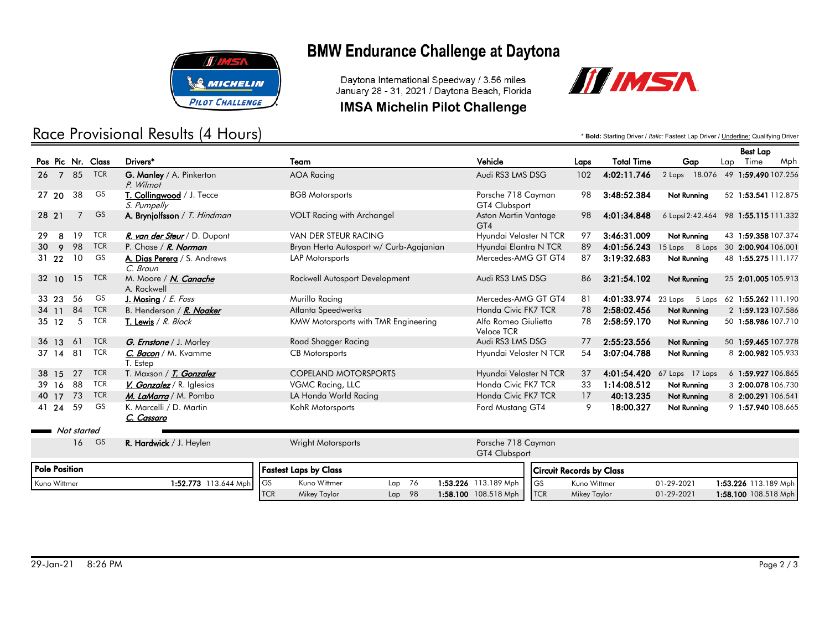

### Race Provisional Results (4 Hours)

## **BMW Endurance Challenge at Daytona**

Daytona International Speedway / 3.56 miles January 28 - 31, 2021 / Daytona Beach, Florida

### **IMSA Michelin Pilot Challenge**



\* **Bold:** Starting Driver / *Italic:* Fastest Lap Driver / Underline: Qualifying Driver

TCR Mikey Taylor 01-29-2021 1:58.100 108.518 Mph

|                      |             |            |                                              |                                         |                                     |              |                   |                                     |     | <b>Best Lap</b>            |     |
|----------------------|-------------|------------|----------------------------------------------|-----------------------------------------|-------------------------------------|--------------|-------------------|-------------------------------------|-----|----------------------------|-----|
| Pos Pic Nr. Class    |             |            | Drivers*                                     | Team                                    | Vehicle                             | Laps         | <b>Total Time</b> | Gap                                 | Lap | Time                       | Mph |
| $26 \quad 7$         | 85          | <b>TCR</b> | G. Manley / A. Pinkerton<br>P. Wilmot        | <b>AOA Racing</b>                       | Audi RS3 LMS DSG                    | 102          | 4:02:11.746       | 2 Laps                              |     | 18.076 49 1:59.490 107.256 |     |
| 27, 20               | 38          | GS         | T. Collingwood / J. Tecce<br>S. Pumpelly     | <b>BGB Motorsports</b>                  | Porsche 718 Cayman<br>GT4 Clubsport | 98           | 3:48:52.384       | Not Running                         |     | 52 1:53.541 112.875        |     |
| 28 21                |             | <b>GS</b>  | A. Brynjolfsson / T. Hindman                 | <b>VOLT Racing with Archangel</b>       | Aston Martin Vantage<br>GT4         | 98           | 4:01:34.848       | 6 Laps 2:42.464 98 1:55.115 111.332 |     |                            |     |
| 29<br>8              | 19          | <b>TCR</b> | R. van der Steur / D. Dupont                 | VAN DER STEUR RACING                    | Hyundai Veloster N TCR              | 97           | 3:46:31.009       | <b>Not Running</b>                  |     | 43 1:59.358 107.374        |     |
| 30<br>9              | 98          | <b>TCR</b> | P. Chase / R. Norman                         | Bryan Herta Autosport w/ Curb-Agajanian | Hyundai Elantra N TCR               | 89           | 4:01:56.243       | 15 Laps 8 Laps                      |     | 30 2:00.904 106.001        |     |
| 31 22                | 10          | GS         | A. Dias Perera / S. Andrews<br>C. Braun      | LAP Motorsports                         | Mercedes-AMG GT GT4                 | 87           | 3:19:32.683       | Not Running                         |     | 48 1:55.275 111.177        |     |
| 32 10                | 15          | <b>TCR</b> | M. Moore / N. Canache<br>A. Rockwell         | Rockwell Autosport Development          | Audi RS3 LMS DSG                    | 86           | 3:21:54.102       | Not Running                         |     | 25 2:01.005 105.913        |     |
| 33 23                | 56          | GS         | J. Mosing / $E. Foss$                        | Murillo Racing                          | Mercedes-AMG GT GT4                 | 81           | 4:01:33.974       | 23 Laps<br>5 Laps                   |     | 62 1:55.262 111.190        |     |
| 34 11                | 84          | <b>TCR</b> | B. Henderson / R. Noaker                     | Atlanta Speedwerks                      | Honda Civic FK7 TCR                 | 78           | 2:58:02.456       | Not Running                         |     | 2 1:59.123 107.586         |     |
| $35 \quad 12$        | 5           | <b>TCR</b> | T. Lewis / R. Block                          | KMW Motorsports with TMR Engineering    | Alfa Romeo Giulietta<br>Veloce TCR  | 78           | 2:58:59.170       | Not Running                         |     | 50 1:58.986 107.710        |     |
| 36 13                | 61          | <b>TCR</b> | G. Ernstone / J. Morley                      | Road Shagger Racing                     | Audi RS3 LMS DSG                    | 77           | 2:55:23.556       | Not Running                         |     | 50 1:59.465 107.278        |     |
| $37 \; 14$           | 81          | <b>TCR</b> | C. Bacon / M. Kvamme<br>T. Estep             | <b>CB</b> Motorsports                   | Hyundai Veloster N TCR              | 54           | 3:07:04.788       | Not Running                         |     | 8 2:00.982 105.933         |     |
| 38 15                | 27          | <b>TCR</b> | T. Maxson / T. Gonzalez                      | <b>COPELAND MOTORSPORTS</b>             | Hyundai Veloster N TCR              | 37           | 4:01:54.420       | 67 Laps 17 Laps                     |     | 6 1:59.927 106.865         |     |
| 39 16                | 88          | <b>TCR</b> | V. Gonzalez / R. Iglesias                    | VGMC Racing, LLC                        | Honda Civic FK7 TCR                 | 33           | 1:14:08.512       | Not Running                         |     | 3 2:00.078 106.730         |     |
| 40 17                | 73          | <b>TCR</b> | M. LaMarra / M. Pombo                        | LA Honda World Racing                   | Honda Civic FK7 TCR                 | 17           | 40:13.235         | Not Running                         |     | 8 2:00.291 106.541         |     |
| 41 24                | 59          | GS         | K. Marcelli / D. Martin<br><u>C. Cassaro</u> | KohR Motorsports                        | Ford Mustang GT4                    | 9            | 18:00.327         | Not Running                         |     | 9 1:57.940 108.665         |     |
|                      | Not started |            |                                              |                                         |                                     |              |                   |                                     |     |                            |     |
|                      | 16          | <b>GS</b>  | R. Hardwick / J. Heylen                      | <b>Wright Motorsports</b>               | Porsche 718 Cayman<br>GT4 Clubsport |              |                   |                                     |     |                            |     |
| <b>Pole Position</b> |             |            |                                              | <b>Fastest Laps by Class</b>            | <b>Circuit Records by Class</b>     |              |                   |                                     |     |                            |     |
| Kuno Wittmer         |             |            | 1:52.773 113.644 Mph                         | <b>GS</b><br>Kuno Wittmer<br>76<br>Lap  | 1:53.226 113.189 Mph<br>l GS        | Kuno Wittmer |                   | 01-29-2021                          |     | 1:53.226 113.189 Mph       |     |

TCR Mikey Taylor Lap 98 1:58.100 108.518 Mph